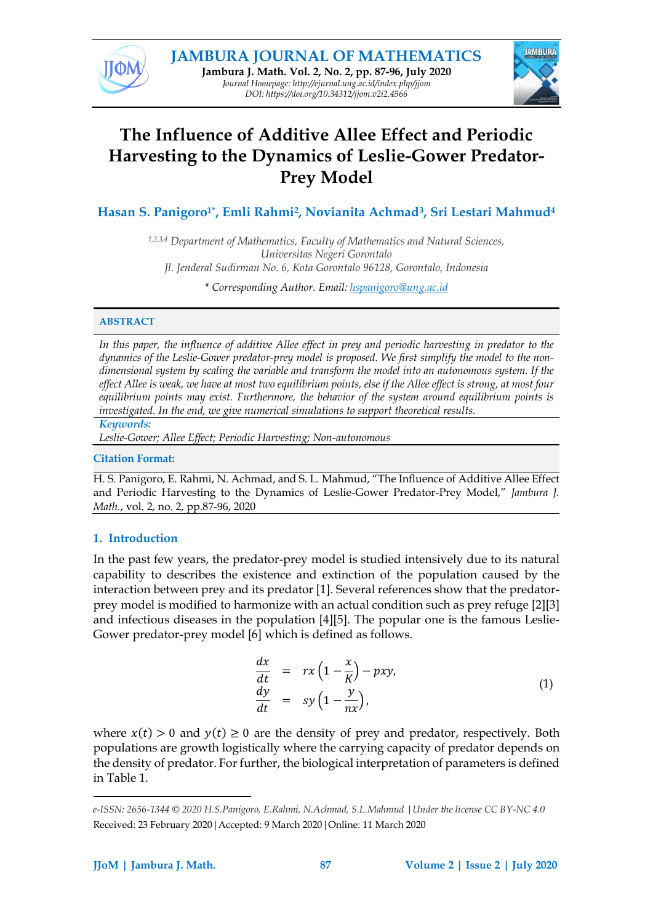



# **The Influence of Additive Allee Effect and Periodic Harvesting to the Dynamics of Leslie-Gower Predator-Prey Model**

**Hasan S. Panigoro1\* , Emli Rahmi2, Novianita Achmad3, Sri Lestari Mahmud<sup>4</sup>**

*1,2,3,4 Department of Mathematics, Faculty of Mathematics and Natural Sciences, Universitas Negeri Gorontalo Jl. Jenderal Sudirman No. 6, Kota Gorontalo 96128, Gorontalo, Indonesia*

*\* Corresponding Author. Email: [hspanigoro@ung.ac.id](mailto:info@jjom.com)*

# **ABSTRACT<sup>1</sup>**

In this paper, the influence of additive Allee effect in prey and periodic harvesting in predator to the *dynamics of the Leslie-Gower predator-prey model is proposed. We first simplify the model to the nondimensional system by scaling the variable and transform the model into an autonomous system. If the* effect Allee is weak, we have at most two equilibrium points, else if the Allee effect is strong, at most four *equilibrium points may exist. Furthermore, the behavior of the system around equilibrium points is investigated. In the end, we give numerical simulations to support theoretical results.*

# *Keywords:*

*Leslie-Gower; Allee Effect; Periodic Harvesting; Non-autonomous*

# **Citation Format:**

H. S. Panigoro, E. Rahmi, N. Achmad, and S. L. Mahmud, "The Influence of Additive Allee Effect and Periodic Harvesting to the Dynamics of Leslie-Gower Predator-Prey Model," *Jambura J. Math.*, vol. 2, no. 2, pp.87-96, 2020

# **1. Introduction**

In the past few years, the predator-prey model is studied intensively due to its natural capability to describes the existence and extinction of the population caused by the interaction between prey and its predator [1]. Several references show that the predatorprey model is modified to harmonize with an actual condition such as prey refuge [2][3] and infectious diseases in the population [4][5]. The popular one is the famous Leslie-Gower predator-prey model [6] which is defined as follows.

<span id="page-0-0"></span>
$$
\begin{array}{rcl}\n\frac{dx}{dt} & = & rx\left(1 - \frac{x}{K}\right) - pxy, \\
\frac{dy}{dt} & = & sy\left(1 - \frac{y}{nx}\right),\n\end{array} \tag{1}
$$

where  $x(t) > 0$  and  $y(t) \ge 0$  are the density of prey and predator, respectively. Both populations are growth logistically where the carrying capacity of predator depends on the density of predator. For further, the biological interpretation of parameters is defined in Table 1.

<sup>11</sup> *e-ISSN: 2656-1344 © 2020 H.S.Panigoro, E.Rahmi, N.Achmad, S.L.Mahmud |Under the license CC BY-NC 4.0* Received: 23 February 2020|Accepted: 9 March 2020|Online: 11 March 2020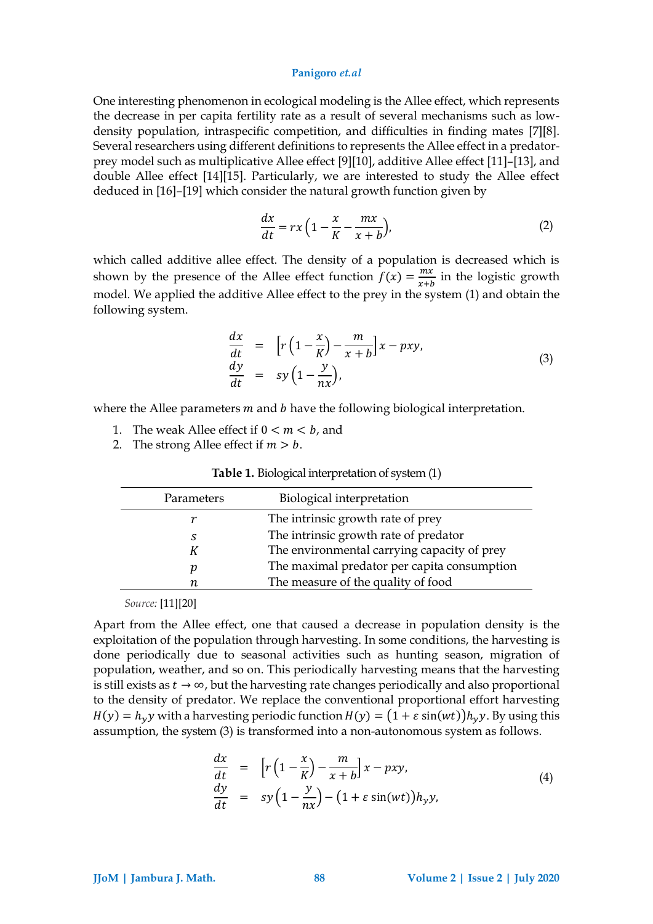One interesting phenomenon in ecological modeling is the Allee effect, which represents the decrease in per capita fertility rate as a result of several mechanisms such as lowdensity population, intraspecific competition, and difficulties in finding mates [7][8]. Several researchers using different definitions to represents the Allee effect in a predatorprey model such as multiplicative Allee effect [9][10], additive Allee effect [11]–[13], and double Allee effect [14][15]. Particularly, we are interested to study the Allee effect deduced in [16]–[19] which consider the natural growth function given by

<span id="page-1-0"></span>
$$
\frac{dx}{dt} = rx\left(1 - \frac{x}{K} - \frac{mx}{x+b}\right),\tag{2}
$$

which called additive allee effect. The density of a population is decreased which is shown by the presence of the Allee effect function  $f(x) = \frac{mx}{x+y}$  $\frac{m x}{x+b}$  in the logistic growth model. We applied the additive Allee effect to the prey in the system [\(1\)](#page-0-0) and obtain the following system.

$$
\begin{array}{rcl}\n\frac{dx}{dt} & = & \left[ r \left( 1 - \frac{x}{K} \right) - \frac{m}{x + b} \right] x - pxy, \\
\frac{dy}{dt} & = & sy \left( 1 - \frac{y}{nx} \right),\n\end{array} \tag{3}
$$

where the Allee parameters  $m$  and  $b$  have the following biological interpretation.

- 1. The weak Allee effect if  $0 < m < b$ , and
- 2. The strong Allee effect if  $m > b$ .

| Parameters | Biological interpretation                                                            |
|------------|--------------------------------------------------------------------------------------|
|            | The intrinsic growth rate of prey                                                    |
| S          | The intrinsic growth rate of predator<br>The environmental carrying capacity of prey |
|            | The maximal predator per capita consumption<br>The measure of the quality of food    |

**Table 1.** Biological interpretation of system [\(1\)](#page-0-0)

*Source:* [11][20]

Apart from the Allee effect, one that caused a decrease in population density is the exploitation of the population through harvesting. In some conditions, the harvesting is done periodically due to seasonal activities such as hunting season, migration of population, weather, and so on. This periodically harvesting means that the harvesting is still exists as  $t \to \infty$ , but the harvesting rate changes periodically and also proportional to the density of predator. We replace the conventional proportional effort harvesting  $H(y) = h_y y$  with a harvesting periodic function  $H(y) = (1 + \varepsilon \sin(wt))h_y y$ . By using this assumption, the system [\(3\)](#page-1-0) is transformed into a non-autonomous system as follows.

<span id="page-1-1"></span>
$$
\begin{array}{rcl}\n\frac{dx}{dt} & = & \left[ r\left(1 - \frac{x}{K}\right) - \frac{m}{x + b} \right] x - pxy, \\
\frac{dy}{dt} & = & sy\left(1 - \frac{y}{nx}\right) - \left(1 + \varepsilon \sin(wt)\right) h_y y,\n\end{array}\n\tag{4}
$$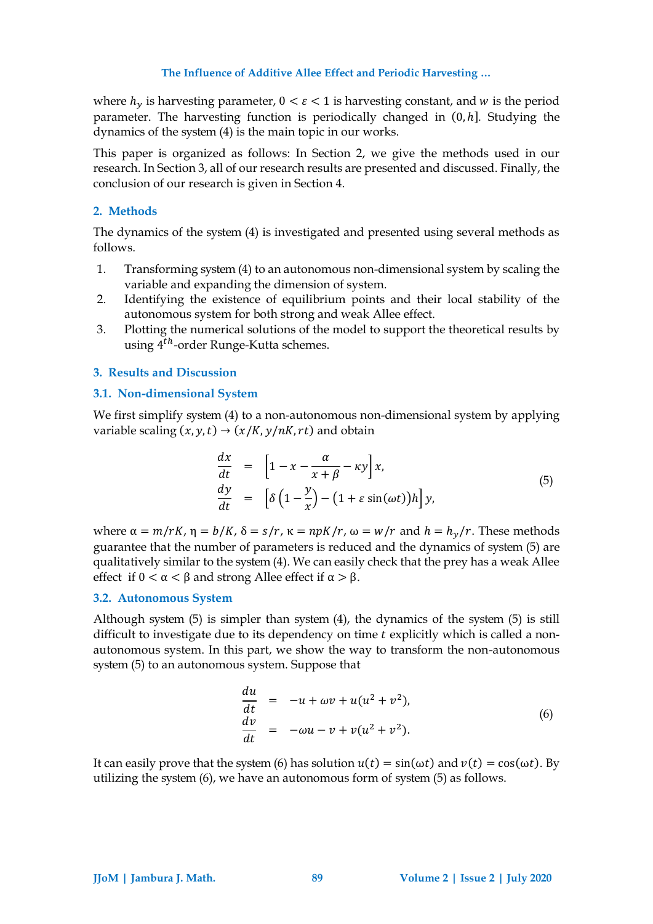where  $h_v$  is harvesting parameter,  $0 < \varepsilon < 1$  is harvesting constant, and w is the period parameter. The harvesting function is periodically changed in (0, ℎ]*.* Studying the dynamics of the system [\(4\)](#page-1-1) is the main topic in our works.

This paper is organized as follows: In Section 2, we give the methods used in our research. In Section 3, all of our research results are presented and discussed. Finally, the conclusion of our research is given in Section 4.

# **2. Methods**

The dynamics of the system [\(4\)](#page-1-1) is investigated and presented using several methods as follows.

- 1. Transforming system [\(4\)](#page-1-1) to an autonomous non-dimensional system by scaling the variable and expanding the dimension of system.
- 2. Identifying the existence of equilibrium points and their local stability of the autonomous system for both strong and weak Allee effect.
- 3. Plotting the numerical solutions of the model to support the theoretical results by using 4<sup>th</sup>-order Runge-Kutta schemes.

# **3. Results and Discussion**

# **3.1. Non-dimensional System**

We first simplify system [\(4\)](#page-1-1) to a non-autonomous non-dimensional system by applying variable scaling  $(x, y, t) \rightarrow (x/K, y/nK, rt)$  and obtain

<span id="page-2-0"></span>
$$
\begin{array}{rcl}\n\frac{dx}{dt} & = & \left[1 - x - \frac{\alpha}{x + \beta} - \kappa y\right]x, \\
\frac{dy}{dt} & = & \left[\delta\left(1 - \frac{y}{x}\right) - \left(1 + \varepsilon \sin(\omega t)\right)h\right]y,\n\end{array} \tag{5}
$$

where  $\alpha = m/rK$ ,  $\eta = b/K$ ,  $\delta = s/r$ ,  $\kappa = npK/r$ ,  $\omega = w/r$  and  $h = h_v/r$ . These methods guarantee that the number of parameters is reduced and the dynamics of system [\(5\)](#page-2-0) are qualitatively similar to the system [\(4\)](#page-1-1). We can easily check that the prey has a weak Allee effect if  $0 < \alpha < \beta$  and strong Allee effect if  $\alpha > \beta$ .

# **3.2. Autonomous System**

Although system [\(5\)](#page-2-0) is simpler than system [\(4\)](#page-1-1), the dynamics of the system [\(5\)](#page-2-0) is still difficult to investigate due to its dependency on time  $t$  explicitly which is called a nonautonomous system. In this part, we show the way to transform the non-autonomous system [\(5\)](#page-2-0) to an autonomous system. Suppose that

<span id="page-2-1"></span>
$$
\begin{array}{rcl}\n\frac{du}{dt} & = & -u + \omega v + u(u^2 + v^2), \\
\frac{dv}{dt} & = & -\omega u - v + v(u^2 + v^2).\n\end{array} \tag{6}
$$

It can easily prove that the system [\(6\)](#page-2-1) has solution  $u(t) = \sin(\omega t)$  and  $v(t) = \cos(\omega t)$ . By utilizing the system [\(6\)](#page-2-1), we have an autonomous form of system [\(5\)](#page-2-0) as follows.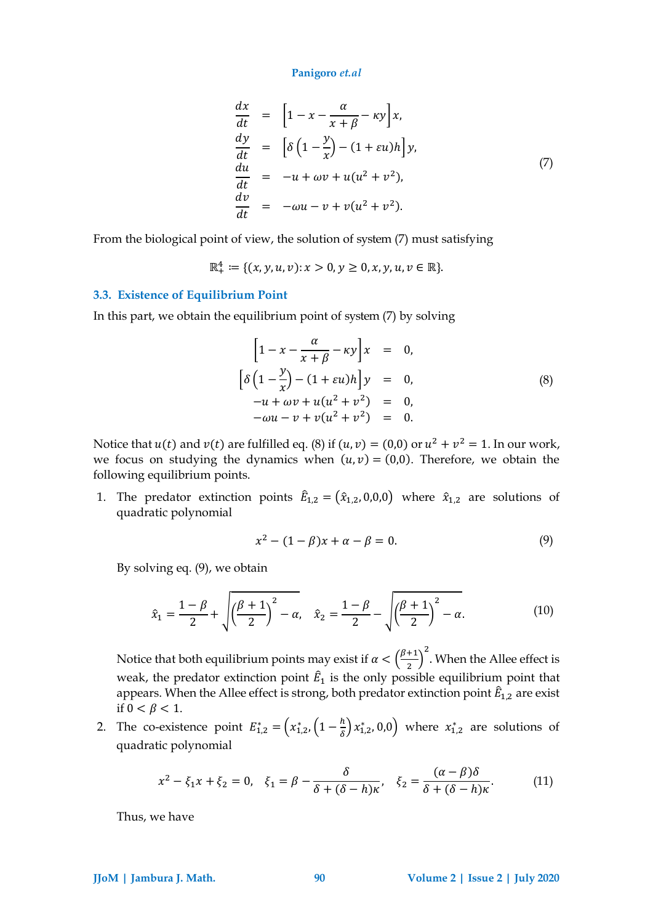<span id="page-3-0"></span>
$$
\begin{array}{rcl}\n\frac{dx}{dt} & = & \left[1 - x - \frac{\alpha}{x + \beta} - \kappa y\right]x, \\
\frac{dy}{dt} & = & \left[\delta\left(1 - \frac{y}{x}\right) - (1 + \varepsilon u)h\right]y, \\
\frac{du}{dt} & = & -u + \omega v + u(u^2 + v^2), \\
\frac{dv}{dt} & = & -\omega u - v + v(u^2 + v^2).\n\end{array} \tag{7}
$$

From the biological point of view, the solution of system [\(7\)](#page-3-0) must satisfying

$$
\mathbb{R}^4_+ := \{ (x, y, u, v) : x > 0, y \ge 0, x, y, u, v \in \mathbb{R} \}.
$$

### **3.3. Existence of Equilibrium Point**

In this part, we obtain the equilibrium point of system [\(7\)](#page-3-0) by solving

<span id="page-3-1"></span>
$$
\[1 - x - \frac{\alpha}{x + \beta} - \kappa y\]x = 0, \n[\delta \left(1 - \frac{y}{x}\right) - (1 + \varepsilon u)h\]y = 0, \n-u + \omega v + u(u^2 + v^2) = 0, \n-\omega u - v + v(u^2 + v^2) = 0. \tag{8}
$$

Notice that  $u(t)$  and  $v(t)$  are fulfilled eq. [\(8\)](#page-3-1) if  $(u, v) = (0, 0)$  or  $u^2 + v^2 = 1$ . In our work, we focus on studying the dynamics when  $(u, v) = (0, 0)$ . Therefore, we obtain the following equilibrium points.

1. The predator extinction points  $\hat{E}_{1,2} = (\hat{x}_{1,2}, 0, 0, 0)$  where  $\hat{x}_{1,2}$  are solutions of quadratic polynomial

<span id="page-3-2"></span>
$$
x^2 - (1 - \beta)x + \alpha - \beta = 0. \tag{9}
$$

By solving eq. [\(9\)](#page-3-2), we obtain

$$
\hat{x}_1 = \frac{1 - \beta}{2} + \sqrt{\left(\frac{\beta + 1}{2}\right)^2 - \alpha}, \quad \hat{x}_2 = \frac{1 - \beta}{2} - \sqrt{\left(\frac{\beta + 1}{2}\right)^2 - \alpha}.
$$
 (10)

Notice that both equilibrium points may exist if  $\alpha < \left(\frac{\beta+1}{2}\right)$  $\left(\frac{+1}{2}\right)^2$ . When the Allee effect is weak, the predator extinction point  $\hat{E}_1$  is the only possible equilibrium point that appears. When the Allee effect is strong, both predator extinction point  $\widehat E_{1,2}$  are exist if  $0 < \beta < 1$ .

2. The co-existence point  $E_{1,2}^* = (x_{1,2}^*, (1 - \frac{h}{\delta}))$  $\left(\frac{n}{\delta}\right) x_{1,2}^*$ , 0,0) where  $x_{1,2}^*$  are solutions of quadratic polynomial

$$
x^2 - \xi_1 x + \xi_2 = 0, \quad \xi_1 = \beta - \frac{\delta}{\delta + (\delta - h)\kappa}, \quad \xi_2 = \frac{(\alpha - \beta)\delta}{\delta + (\delta - h)\kappa}.
$$
 (11)

Thus, we have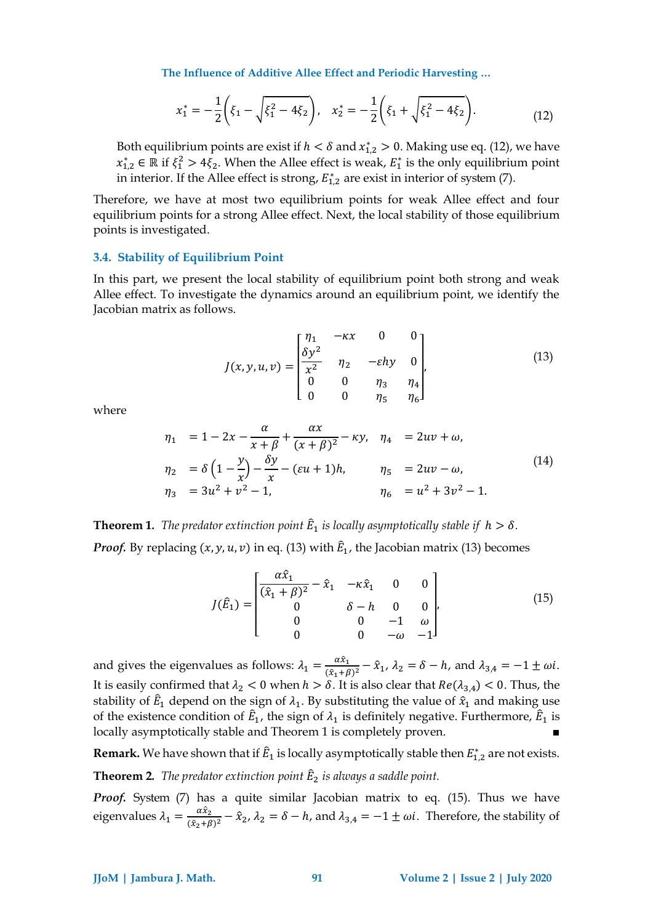<span id="page-4-0"></span>
$$
x_1^* = -\frac{1}{2} \left( \xi_1 - \sqrt{\xi_1^2 - 4\xi_2} \right), \quad x_2^* = -\frac{1}{2} \left( \xi_1 + \sqrt{\xi_1^2 - 4\xi_2} \right). \tag{12}
$$

Both equilibrium points are exist if  $h < \delta$  and  $x_{1,2}^* > 0$ . Making use eq. [\(12\)](#page-4-0), we have  $x_{1,2}^*$  ∈ ℝ if  $\xi_1^2$  > 4 $\xi_2$ . When the Allee effect is weak,  $E_1^*$  is the only equilibrium point in interior. If the Allee effect is strong,  $E_{1,2}^*$  are exist in interior of system [\(7\)](#page-3-0).

Therefore, we have at most two equilibrium points for weak Allee effect and four equilibrium points for a strong Allee effect. Next, the local stability of those equilibrium points is investigated.

### **3.4. Stability of Equilibrium Point**

In this part, we present the local stability of equilibrium point both strong and weak Allee effect. To investigate the dynamics around an equilibrium point, we identify the Jacobian matrix as follows.

<span id="page-4-1"></span>
$$
J(x, y, u, v) = \begin{bmatrix} \eta_1 & -\kappa x & 0 & 0 \\ \frac{\delta y^2}{x^2} & \eta_2 & -\varepsilon hy & 0 \\ 0 & 0 & \eta_3 & \eta_4 \\ 0 & 0 & \eta_5 & \eta_6 \end{bmatrix},
$$
(13)

where

$$
\eta_1 = 1 - 2x - \frac{\alpha}{x + \beta} + \frac{\alpha x}{(x + \beta)^2} - \kappa y, \quad \eta_4 = 2uv + \omega,
$$
  
\n
$$
\eta_2 = \delta \left( 1 - \frac{y}{x} \right) - \frac{\delta y}{x} - (\varepsilon u + 1)h, \qquad \eta_5 = 2uv - \omega,
$$
  
\n
$$
\eta_3 = 3u^2 + v^2 - 1, \qquad \eta_6 = u^2 + 3v^2 - 1.
$$
\n(14)

**Theorem 1.** The predator extinction point  $\hat{E}_1$  is locally asymptotically stable if  $h > \delta$ . *Proof.* By replacing  $(x, y, u, v)$  in eq. [\(13\)](#page-4-1) with  $\hat{E}_1$ , the Jacobian matrix (13) becomes

<span id="page-4-2"></span>
$$
J(\hat{E}_1) = \begin{bmatrix} \frac{\alpha \hat{x}_1}{(\hat{x}_1 + \beta)^2} - \hat{x}_1 & -\kappa \hat{x}_1 & 0 & 0\\ 0 & \delta - h & 0 & 0\\ 0 & 0 & -1 & \omega\\ 0 & 0 & -\omega & -1 \end{bmatrix},
$$
(15)

and gives the eigenvalues as follows:  $\lambda_1 = \frac{\alpha \hat{x}_1}{\hat{x}_1 + \hat{y}_2}$  $\frac{\alpha x_1}{(\hat{x}_1+\beta)^2} - \hat{x}_1$ ,  $\lambda_2 = \delta - h$ , and  $\lambda_{3,4} = -1 \pm \omega i$ . It is easily confirmed that  $\lambda_2 < 0$  when  $h > \delta$ . It is also clear that  $Re(\lambda_{3,4}) < 0$ . Thus, the stability of  $\hat{E}_1$  depend on the sign of  $\lambda_1$ . By substituting the value of  $\hat{x}_1$  and making use of the existence condition of  $\hat{E}_1$ , the sign of  $\lambda_1$  is definitely negative. Furthermore,  $\hat{E}_1$  is locally asymptotically stable and Theorem 1 is completely proven.

**Remark.** We have shown that if  $\widehat{E}_1$  is locally asymptotically stable then  $E^*_{1,2}$  are not exists.

# **Theorem 2***. The predator extinction point* ̂ <sup>2</sup> *is always a saddle point.*

*Proof.* System [\(7\)](#page-3-0) has a quite similar Jacobian matrix to eq. [\(15\)](#page-4-2). Thus we have eigenvalues  $\lambda_1 = \frac{\alpha \hat{x}_2}{\left(\hat{x}_2 + \hat{\beta}\right)}$  $\frac{\mu_{2}}{(\hat{x}_2+\beta)^2} - \hat{x}_2$ ,  $\lambda_2 = \delta - h$ , and  $\lambda_{3,4} = -1 \pm \omega i$ . Therefore, the stability of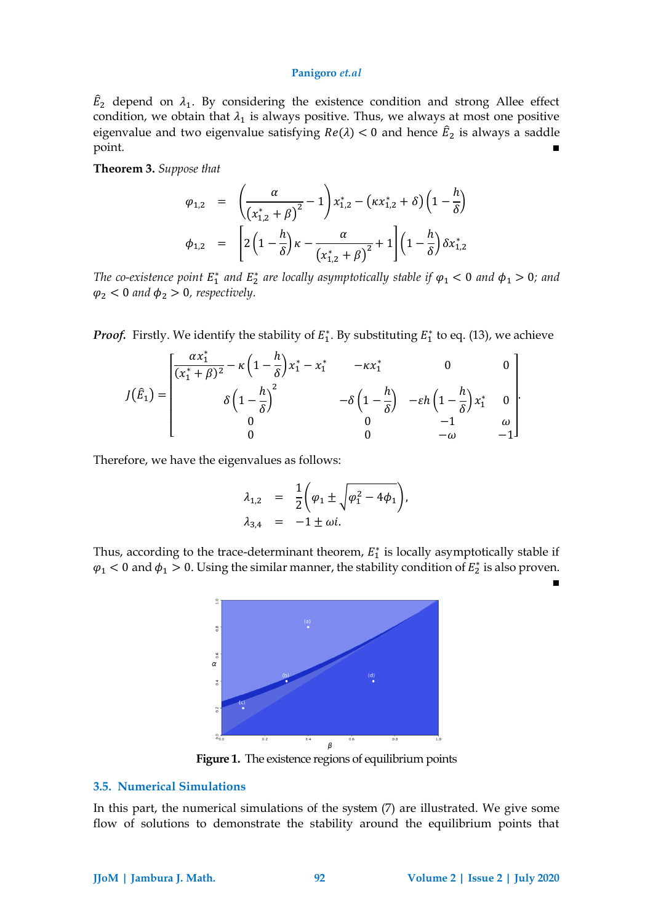$\hat{E}_2$  depend on  $\lambda_1$ . By considering the existence condition and strong Allee effect condition, we obtain that  $\lambda_1$  is always positive. Thus, we always at most one positive eigenvalue and two eigenvalue satisfying  $Re(\lambda) < 0$  and hence  $\hat{E}_2$  is always a saddle point. ■

**Theorem 3.** *Suppose that*

$$
\varphi_{1,2} = \left( \frac{\alpha}{(x_{1,2}^* + \beta)^2} - 1 \right) x_{1,2}^* - (kx_{1,2}^* + \delta) \left( 1 - \frac{h}{\delta} \right)
$$
  

$$
\phi_{1,2} = \left[ 2 \left( 1 - \frac{h}{\delta} \right) \kappa - \frac{\alpha}{(x_{1,2}^* + \beta)^2} + 1 \right] \left( 1 - \frac{h}{\delta} \right) \delta x_{1,2}^*
$$

*The co-existence point*  $E_1^*$  and  $E_2^*$  are locally asymptotically stable if  $\varphi_1 < 0$  and  $\varphi_1 > 0$ ; and  $\varphi_2$  < 0 *and*  $\varphi_2$  > 0*, respectively.* 

*Proof.* Firstly. We identify the stability of  $E_1^*$ . By substituting  $E_1^*$  to eq. [\(13\)](#page-4-1), we achieve

$$
J(\hat{E}_1) = \begin{bmatrix} \frac{\alpha x_1^*}{(x_1^* + \beta)^2} - \kappa \left(1 - \frac{h}{\delta}\right) x_1^* - x_1^* & -\kappa x_1^* & 0 & 0\\ \delta \left(1 - \frac{h}{\delta}\right)^2 & -\delta \left(1 - \frac{h}{\delta}\right) & -\varepsilon h \left(1 - \frac{h}{\delta}\right) x_1^* & 0\\ 0 & 0 & -1 & \omega\\ 0 & 0 & -\omega & -1 \end{bmatrix}.
$$

Therefore, we have the eigenvalues as follows:

$$
\lambda_{1,2} = \frac{1}{2} \left( \varphi_1 \pm \sqrt{\varphi_1^2 - 4\varphi_1} \right),
$$
  

$$
\lambda_{3,4} = -1 \pm \omega i.
$$

Thus, according to the trace-determinant theorem,  $E_1^*$  is locally asymptotically stable if  $\varphi_1$  < 0 and  $\varphi_1$  > 0. Using the similar manner, the stability condition of  $E_2^*$  is also proven.



**Figure 1.** The existence regions of equilibrium points

# **3.5. Numerical Simulations**

In this part, the numerical simulations of the system [\(7\)](#page-3-0) are illustrated. We give some flow of solutions to demonstrate the stability around the equilibrium points that

■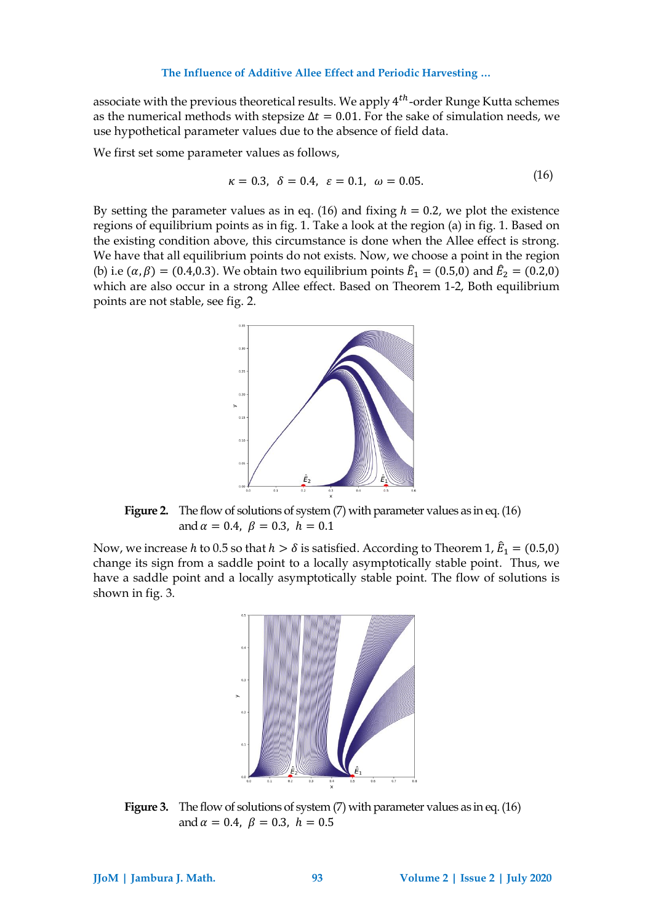associate with the previous theoretical results. We apply  $4^{th}$ -order Runge Kutta schemes as the numerical methods with stepsize  $\Delta t = 0.01$ . For the sake of simulation needs, we use hypothetical parameter values due to the absence of field data.

We first set some parameter values as follows,

<span id="page-6-0"></span>
$$
\kappa = 0.3, \delta = 0.4, \varepsilon = 0.1, \omega = 0.05.
$$
 (16)

By setting the parameter values as in eq. [\(16\)](#page-6-0) and fixing  $h = 0.2$ , we plot the existence regions of equilibrium points as in fig. 1. Take a look at the region (a) in fig. 1. Based on the existing condition above, this circumstance is done when the Allee effect is strong. We have that all equilibrium points do not exists. Now, we choose a point in the region (b) i.e ( $\alpha$ ,  $\beta$ ) = (0.4,0.3). We obtain two equilibrium points  $\hat{E}_1$  = (0.5,0) and  $\hat{E}_2$  = (0.2,0) which are also occur in a strong Allee effect. Based on Theorem 1-2, Both equilibrium points are not stable, see fig. 2.



**Figure 2.** The flow of solutions of system [\(7\)](#page-3-0) with parameter values as in eq. [\(16\)](#page-6-0) and  $\alpha = 0.4$ ,  $\beta = 0.3$ ,  $h = 0.1$ 

Now, we increase h to 0.5 so that  $h > \delta$  is satisfied. According to Theorem 1,  $\hat{E}_1 = (0.5, 0)$ change its sign from a saddle point to a locally asymptotically stable point. Thus, we have a saddle point and a locally asymptotically stable point. The flow of solutions is shown in fig. 3.



**Figure 3.** The flow of solutions of system [\(7\)](#page-3-0) with parameter values as in eq. [\(16\)](#page-6-0) and  $\alpha = 0.4$ ,  $\beta = 0.3$ ,  $h = 0.5$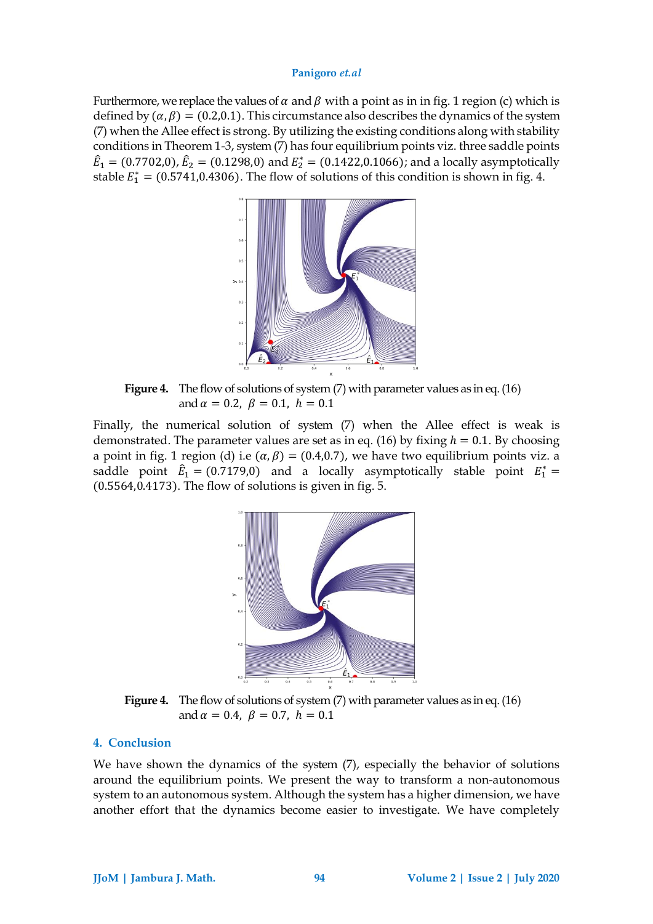Furthermore, we replace the values of  $\alpha$  and  $\beta$  with a point as in in fig. 1 region (c) which is defined by  $(a, \beta) = (0.2, 0.1)$ . This circumstance also describes the dynamics of the system [\(7\)](#page-3-0) when the Allee effect is strong. By utilizing the existing conditions along with stability conditions in Theorem 1-3, system [\(7\)](#page-3-0) has four equilibrium points viz. three saddle points  $\hat{E}_1 = (0.7702, 0), \hat{E}_2 = (0.1298, 0)$  and  $E_2^* = (0.1422, 0.1066)$ ; and a locally asymptotically stable  $E_1^* = (0.5741, 0.4306)$ . The flow of solutions of this condition is shown in fig. 4.



**Figure 4.** The flow of solutions of system [\(7\)](#page-3-0) with parameter values as in eq. [\(16\)](#page-6-0) and  $\alpha = 0.2$ ,  $\beta = 0.1$ ,  $h = 0.1$ 

Finally, the numerical solution of system [\(7\)](#page-3-0) when the Allee effect is weak is demonstrated. The parameter values are set as in eq. [\(16\)](#page-6-0) by fixing  $h = 0.1$ . By choosing a point in fig. 1 region (d) i.e  $(\alpha, \beta) = (0.4, 0.7)$ , we have two equilibrium points viz. a saddle point  $\hat{E}_1 = (0.7179,0)$  and a locally asymptotically stable point  $E_1^* =$ (0.5564,0.4173). The flow of solutions is given in fig. 5.



**Figure 4.** The flow of solutions of system [\(7\)](#page-3-0) with parameter values as in eq. [\(16\)](#page-6-0) and  $\alpha = 0.4$ ,  $\beta = 0.7$ ,  $h = 0.1$ 

# **4. Conclusion**

We have shown the dynamics of the system  $(7)$ , especially the behavior of solutions around the equilibrium points. We present the way to transform a non-autonomous system to an autonomous system. Although the system has a higher dimension, we have another effort that the dynamics become easier to investigate. We have completely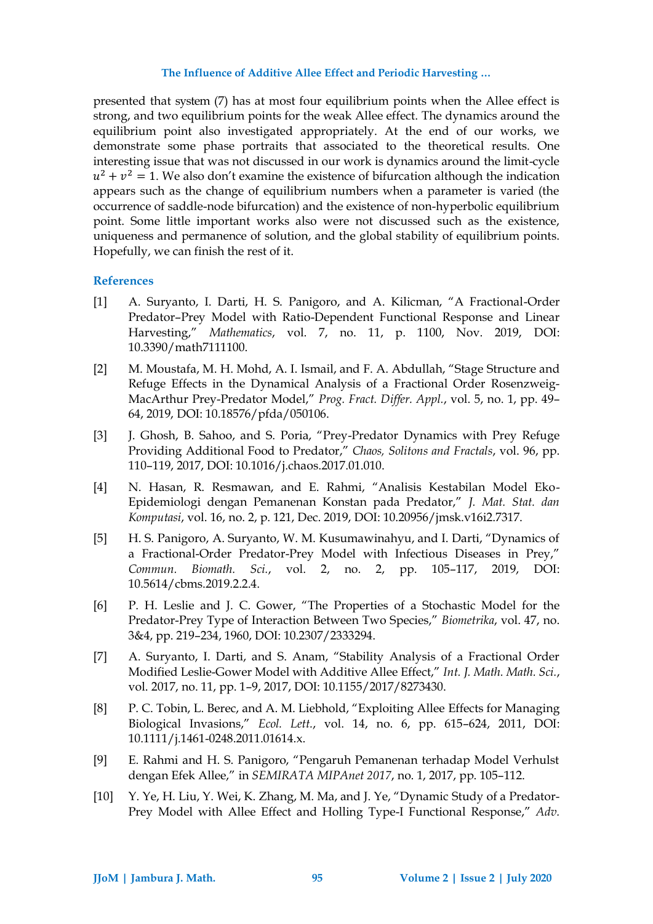presented that system [\(7\)](#page-3-0) has at most four equilibrium points when the Allee effect is strong, and two equilibrium points for the weak Allee effect. The dynamics around the equilibrium point also investigated appropriately. At the end of our works, we demonstrate some phase portraits that associated to the theoretical results. One interesting issue that was not discussed in our work is dynamics around the limit-cycle  $u^2 + v^2 = 1$ . We also don't examine the existence of bifurcation although the indication appears such as the change of equilibrium numbers when a parameter is varied (the occurrence of saddle-node bifurcation) and the existence of non-hyperbolic equilibrium point. Some little important works also were not discussed such as the existence, uniqueness and permanence of solution, and the global stability of equilibrium points. Hopefully, we can finish the rest of it.

# **References**

- [1] A. Suryanto, I. Darti, H. S. Panigoro, and A. Kilicman, "A Fractional-Order Predator–Prey Model with Ratio-Dependent Functional Response and Linear Harvesting," *Mathematics*, vol. 7, no. 11, p. 1100, Nov. 2019, DOI: 10.3390/math7111100.
- [2] M. Moustafa, M. H. Mohd, A. I. Ismail, and F. A. Abdullah, "Stage Structure and Refuge Effects in the Dynamical Analysis of a Fractional Order Rosenzweig-MacArthur Prey-Predator Model," *Prog. Fract. Differ. Appl.*, vol. 5, no. 1, pp. 49– 64, 2019, DOI: 10.18576/pfda/050106.
- [3] J. Ghosh, B. Sahoo, and S. Poria, "Prey-Predator Dynamics with Prey Refuge Providing Additional Food to Predator," *Chaos, Solitons and Fractals*, vol. 96, pp. 110–119, 2017, DOI: 10.1016/j.chaos.2017.01.010.
- [4] N. Hasan, R. Resmawan, and E. Rahmi, "Analisis Kestabilan Model Eko-Epidemiologi dengan Pemanenan Konstan pada Predator," *J. Mat. Stat. dan Komputasi*, vol. 16, no. 2, p. 121, Dec. 2019, DOI: 10.20956/jmsk.v16i2.7317.
- [5] H. S. Panigoro, A. Suryanto, W. M. Kusumawinahyu, and I. Darti, "Dynamics of a Fractional-Order Predator-Prey Model with Infectious Diseases in Prey," *Commun. Biomath. Sci.*, vol. 2, no. 2, pp. 105–117, 2019, DOI: 10.5614/cbms.2019.2.2.4.
- [6] P. H. Leslie and J. C. Gower, "The Properties of a Stochastic Model for the Predator-Prey Type of Interaction Between Two Species," *Biometrika*, vol. 47, no. 3&4, pp. 219–234, 1960, DOI: 10.2307/2333294.
- [7] A. Suryanto, I. Darti, and S. Anam, "Stability Analysis of a Fractional Order Modified Leslie-Gower Model with Additive Allee Effect," *Int. J. Math. Math. Sci.*, vol. 2017, no. 11, pp. 1–9, 2017, DOI: 10.1155/2017/8273430.
- [8] P. C. Tobin, L. Berec, and A. M. Liebhold, "Exploiting Allee Effects for Managing Biological Invasions," *Ecol. Lett.*, vol. 14, no. 6, pp. 615–624, 2011, DOI: 10.1111/j.1461-0248.2011.01614.x.
- [9] E. Rahmi and H. S. Panigoro, "Pengaruh Pemanenan terhadap Model Verhulst dengan Efek Allee," in *SEMIRATA MIPAnet 2017*, no. 1, 2017, pp. 105–112.
- [10] Y. Ye, H. Liu, Y. Wei, K. Zhang, M. Ma, and J. Ye, "Dynamic Study of a Predator-Prey Model with Allee Effect and Holling Type-I Functional Response," *Adv.*